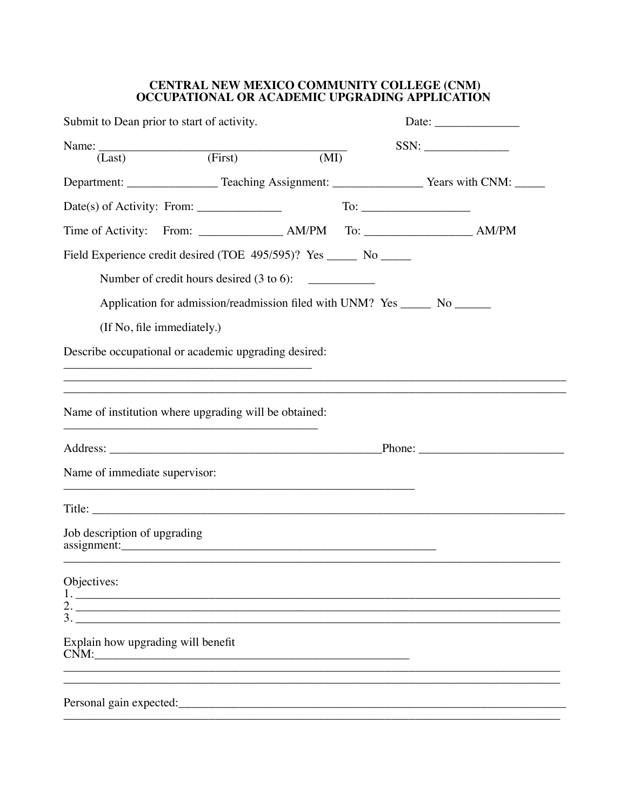## CENTRAL NEW MEXICO COMMUNITY COLLEGE (CNM)<br>OCCUPATIONAL OR ACADEMIC UPGRADING APPLICATION

| Submit to Dean prior to start of activity.                                                                                                                                                                                                                     |                       | Date: $\frac{1}{\sqrt{1-\frac{1}{2}}\cdot\frac{1}{2}}$ |                                                                                                        |
|----------------------------------------------------------------------------------------------------------------------------------------------------------------------------------------------------------------------------------------------------------------|-----------------------|--------------------------------------------------------|--------------------------------------------------------------------------------------------------------|
| Name: $\overline{I_{\text{.ast}}}$ (First)                                                                                                                                                                                                                     | $\overline{\text{M}}$ |                                                        | $SSN: \begin{tabular}{ c c c } \hline \quad \quad & \quad \quad & \quad \quad \\ \hline \end{tabular}$ |
| Department: _________________________Teaching Assignment: _______________________Years with CNM: _________                                                                                                                                                     |                       |                                                        |                                                                                                        |
| $Date(s)$ of Activity: From: $\_\_\_\_\_\_\_\_\_\_\_\_\_\_\_\_\_\_\_\_\_$                                                                                                                                                                                      |                       |                                                        |                                                                                                        |
|                                                                                                                                                                                                                                                                |                       |                                                        |                                                                                                        |
| Field Experience credit desired (TOE 495/595)? Yes ______ No _____<br>Number of credit hours desired (3 to 6):                                                                                                                                                 |                       |                                                        |                                                                                                        |
| Application for admission/readmission filed with UNM? Yes _______ No _______                                                                                                                                                                                   |                       |                                                        |                                                                                                        |
| (If No, file immediately.)                                                                                                                                                                                                                                     |                       |                                                        |                                                                                                        |
| Describe occupational or academic upgrading desired:                                                                                                                                                                                                           |                       |                                                        |                                                                                                        |
|                                                                                                                                                                                                                                                                |                       |                                                        |                                                                                                        |
| <u> 1989 - Johann Stoff, amerikansk politiker (d. 1989)</u><br>Name of institution where upgrading will be obtained:                                                                                                                                           |                       |                                                        |                                                                                                        |
|                                                                                                                                                                                                                                                                |                       |                                                        |                                                                                                        |
| Name of immediate supervisor:                                                                                                                                                                                                                                  |                       |                                                        |                                                                                                        |
|                                                                                                                                                                                                                                                                |                       |                                                        |                                                                                                        |
| Job description of upgrading<br>assignment: and the contract of the contract of the contract of the contract of the contract of the contract of the contract of the contract of the contract of the contract of the contract of the contract of the contract o |                       |                                                        |                                                                                                        |
| Objectives:<br>$1.$ $\overline{\phantom{a}}$<br>2. $\overline{\phantom{a}}$<br>3.                                                                                                                                                                              |                       |                                                        |                                                                                                        |
| Explain how upgrading will benefit<br>CNM:                                                                                                                                                                                                                     |                       |                                                        |                                                                                                        |
|                                                                                                                                                                                                                                                                |                       |                                                        |                                                                                                        |